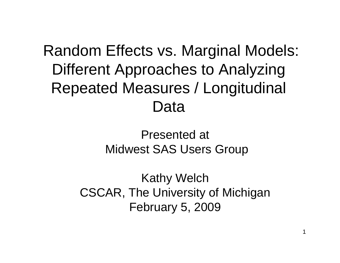#### Random Effects vs. Marginal Models: Different Approaches to Analyzing Repeated Measures / Longitudinal Data

#### Presented at Midwest SAS Users Group

Kathy Welch CSCAR, The University of Michigan February 5, 2009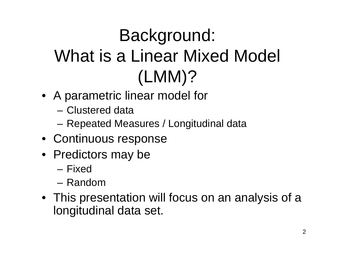# Background: What is a Linear Mixed Model (LMM)?

- A parametric linear model for
	- Clustered data
	- Repeated Measures / Longitudinal data
- Continuous response
- Predictors may be
	- Fixed
	- Random
- This presentation will focus on an analysis of a longitudinal data set.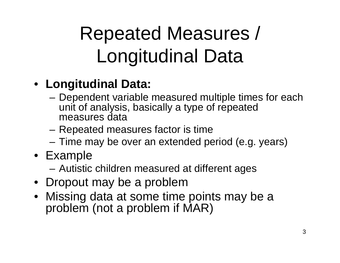# Repeated Measures / Longitudinal Data

#### • **Longitudinal Data:**

- – Dependent variable measured multiple times for each unit of analysis, basically a type of repeated measures data
- Repeated measures factor is time
- –Time may be over an extended period (e.g. years)
- Example
	- –Autistic children measured at different ages
- Dropout may be a problem
- Missing data at some time points may be a problem (not a problem if MAR)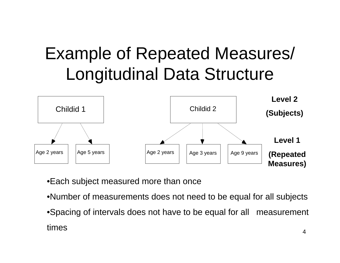#### Example of Repeated Measures/ Longitudinal Data Structure



•Each subject measured more than once

- •Number of measurements does not need to be equal for all subjects
- 4•Spacing of intervals does not have to be equal for all measurement times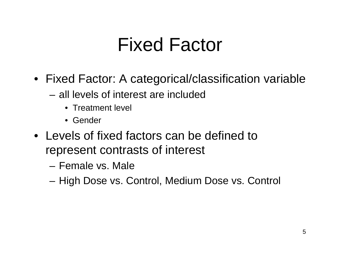# Fixed Factor

- Fixed Factor: A categorical/classification variable
	- all levels of interest are included
		- Treatment level
		- Gender
- Levels of fixed factors can be defined to represent contrasts of interest
	- Female vs. Male
	- High Dose vs. Control, Medium Dose vs. Control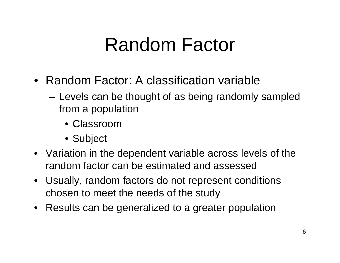### Random Factor

- Random Factor: A classification variable
	- Levels can be thought of as being randomly sampled from a population
		- Classroom
		- Subject
- Variation in the dependent variable across levels of the random factor can be estimated and assessed
- Usually, random factors do not represent conditions chosen to meet the needs of the study
- Results can be generalized to a greater population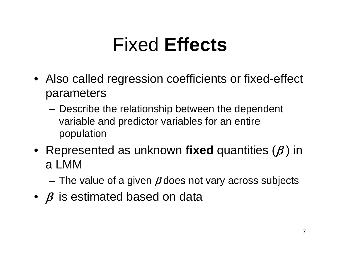# Fixed **Effects**

- Also called regression coefficients or fixed-effect parameters
	- Describe the relationship between the dependent variable and predictor variables for an entire population
- Represented as unknown **fixed** quantities (β ) in a LMM
	- The value of a given  $\beta$  does not vary across subjects
- $\bullet~~\beta$  is estimated based on data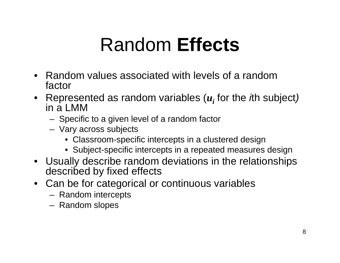# Random **Effects**

- Random values associated with levels of a random factor
- Represented as random variables (*ui* for the *i*th subject*)* in a LMM
	- Specific to a given level of a random factor
	- Vary across subjects
		- Classroom-specific intercepts in a clustered design
		- Subject-specific intercepts in a repeated measures design
- Usually describe random deviations in the relationships described by fixed effects
- Can be for categorical or continuous variables
	- Random intercepts
	- Random slopes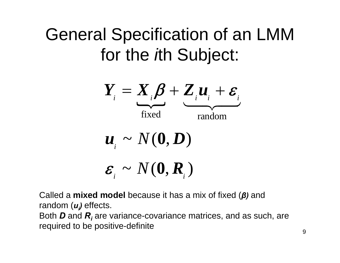#### General Specification of an LMM for the *i*th Subject:

$$
Y_i = X_i \beta + Z_i u_i + \varepsilon_i
$$
  
fixed  

$$
u_i \sim N(0, D)
$$

$$
\varepsilon_i \sim N(0, R_i)
$$

Called a **mixed model** because it has a mix of fixed ( *β)* and random ( *ui)* effects.

Both *D* and *Ri* are variance-covariance matrices, and as such, are required to be positive-definite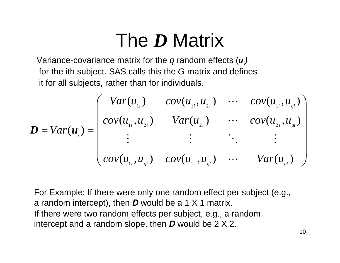# The *D* Matrix

Variance-covariance matrix for the *q* random effects (*<sup>u</sup>i)* for the ith subject. SAS calls this the *G* matrix and defines it for all subjects, rather than for individuals.

$$
\boldsymbol{D} = Var(\boldsymbol{u}_{i}) = \begin{pmatrix} Var(u_{1i}) & cov(u_{1i}, u_{2i}) & \cdots & cov(u_{1i}, u_{qi}) \\ cov(u_{1i}, u_{2i}) & Var(u_{2i}) & \cdots & cov(u_{2i}, u_{qi}) \\ \vdots & \vdots & \ddots & \vdots \\ cov(u_{1i}, u_{qi}) & cov(u_{2i}, u_{qi}) & \cdots & Var(u_{qi}) \end{pmatrix}
$$

For Example: If there were only one random effect per subject (e.g., a random intercept), then *D* would be a 1 X 1 matrix. If there were two random effects per subject, e.g., a random intercept and a random slope, then *D* would be 2 X 2.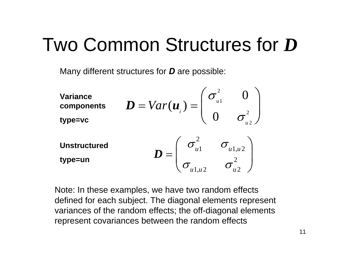# Two Common Structures for *D*

Many different structures for *D* are possible:

| <b>Variance</b><br>components<br>type=vc | $\boldsymbol{D} = Var(\boldsymbol{u}_{i}) =$<br>$\mu$ 1 |                  |
|------------------------------------------|---------------------------------------------------------|------------------|
| <b>Unstructured</b><br>type=un           | $\sigma_{u1}$                                           | $\sigma_{u1,u2}$ |

Note: In these examples, we have two random effects defined for each subject. The diagonal elements represent variances of the random effects; the off-diagonal elements represent covariances between the random effects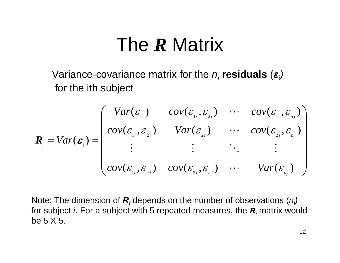#### The *R* Matrix

Variance-covariance matrix for the *ni* **residuals** (*εi)* for the ith subject

$$
\mathbf{R}_{i} = Var(\mathbf{\varepsilon}_{i}) = \begin{pmatrix} Var(\mathbf{\varepsilon}_{1i}) & cov(\mathbf{\varepsilon}_{1i}, \mathbf{\varepsilon}_{2i}) & \cdots & cov(\mathbf{\varepsilon}_{1i}, \mathbf{\varepsilon}_{n,i}) \\ cov(\mathbf{\varepsilon}_{1i}, \mathbf{\varepsilon}_{2i}) & Var(\mathbf{\varepsilon}_{2i}) & \cdots & cov(\mathbf{\varepsilon}_{2i}, \mathbf{\varepsilon}_{n,i}) \\ \vdots & \vdots & \ddots & \vdots \\ cov(\mathbf{\varepsilon}_{1i}, \mathbf{\varepsilon}_{n,i}) & cov(\mathbf{\varepsilon}_{2i}, \mathbf{\varepsilon}_{n,i}) & \cdots & Var(\mathbf{\varepsilon}_{n,i}) \end{pmatrix}
$$

Note: The dimension of *Ri* depends on the number of observations (*ni)* for subject *i*. For a subject with 5 repeated measures, the *Ri* matrix would be 5 X 5.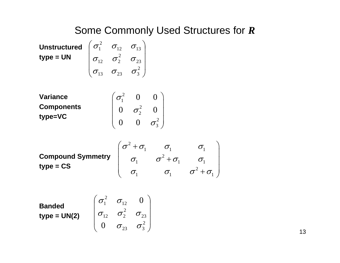#### Some Commonly Used Structures for *R*

**Unstructured** 
$$
\begin{pmatrix} \sigma_1^2 & \sigma_{12} & \sigma_{13} \\ \sigma_{12} & \sigma_2^2 & \sigma_{23} \\ \sigma_{13} & \sigma_{23} & \sigma_3^2 \end{pmatrix}
$$

**Variance Components type=VC**

$$
\begin{pmatrix} \sigma_1^2 & 0 & 0 \\ 0 & \sigma_2^2 & 0 \\ 0 & 0 & \sigma_3^2 \end{pmatrix}
$$

**Compound Symmetry type = CS**  $\begin{matrix} 2+\sigma_1 & \sigma_1 & \sigma_1 \ \sigma_1 & \sigma^2+\sigma_1 & \sigma_1 \ \sigma_1 & \sigma_1 & \sigma^2+\sigma_1 \end{matrix}$  $\sigma$  +  $\sigma$ ,  $\sigma$ ,  $\sigma$  $\sigma_1$   $\sigma^-$  +  $\sigma_1$   $\sigma_2$  $\sigma$ ,  $\sigma$ ,  $\sigma$ + $\sigma$  $\left( \sigma^2 + \sigma_1 \quad \quad \sigma_1 \quad \quad \sigma_1 \quad \quad \right)$  $\left[ \begin{array}{ccc} \sigma_1 & \sigma^2 + \sigma_1 & \sigma_1 \ \sigma_1 & \sigma_1 & \sigma^2 + \sigma_1 \end{array} \right]$  $\left(\begin{array}{ccc} \sigma_{1} & \sigma_{1} & \sigma^{2}+\sigma_{1} \end{array}\right)$ 

**Banded type = UN(2)**  $\begin{vmatrix} 0_{12} & 0_2 & 0_{23} \\ 0 & - & -2 \end{vmatrix}$  $\mathcal{L}$  $\overline{\phantom{a}}$  $\int$ ⎞  $\setminus$  $\bigg($ <sub>23</sub>  $\sigma_3^2$ 23  $\sigma^2$ 12 2 1  $\rm 0$  $\rm 0$  $\sigma_{\scriptscriptstyle{22}}$   $\sigma$  $\sigma_{12}$   $\sigma_{2}$   $\sigma$  $\sigma$   $\sigma$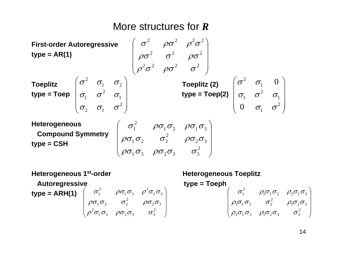#### More structures for *R*



**Compound Symmetry type = CSH**

$$
\begin{pmatrix}\n\sigma_1^2 & \rho \sigma_1 \sigma_2 & \rho \sigma_1 \sigma_3 \\
\rho \sigma_1 \sigma_2 & \sigma_2^2 & \rho \sigma_2 \sigma_3 \\
\rho \sigma_1 \sigma_3 & \rho \sigma_2 \sigma_3 & \sigma_3^2\n\end{pmatrix}
$$

**Heterogeneous Toeplitz**

\n**Autoregressive**

\n**type = ARH(1)**

\n
$$
\begin{pmatrix}\n\sigma_1^2 & \rho \sigma_1 \sigma_2 & \rho^2 \sigma_1 \sigma_3 \\
\rho \sigma_1 \sigma_2 & \sigma_2^2 & \rho \sigma_2 \sigma_3 \\
\rho^2 \sigma_1 \sigma_3 & \rho \sigma_2 \sigma_3 & \sigma_3^2\n\end{pmatrix}
$$
\n**Heterogeneous Toeplitz**

\n**type = Toeph**

\n
$$
\begin{pmatrix}\n\sigma_1^2 & \rho_1 \sigma_1 \sigma_2 & \rho_2 \sigma_1 \sigma_3 \\
\rho_1 \sigma_1 \sigma_2 & \sigma_2^2 & \rho_1 \sigma_2 \sigma_3 \\
\rho_2 \sigma_1 \sigma_3 & \rho_1 \sigma_2 \sigma_3 & \sigma_3^2\n\end{pmatrix}
$$

 $\overline{\phantom{a}}$  $\overline{\phantom{a}}$ 

 $\int$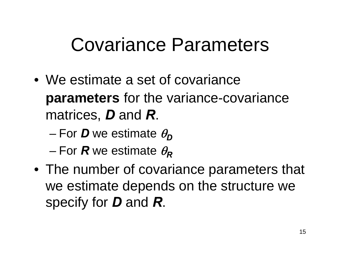# Covariance Parameters

- We estimate a set of covariance **parameters** for the variance-covariance matrices, *D* and *R*.
	- $-$  For  $\bm{D}$  we estimate  $\theta_{\bm{D}}$
	- For *R* we estimate  $\theta_R$
- The number of covariance parameters that we estimate depends on the structure we specify for *D* and *R*.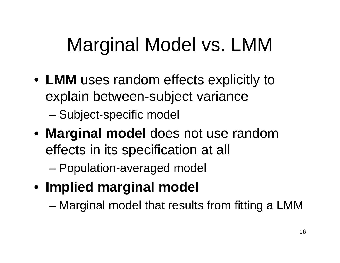# Marginal Model vs. LMM

- **LMM** uses random effects explicitly to explain between-subject variance
	- –Subject-specific model
- **Marginal model** does not use random effects in its specification at all
	- –Population-averaged model
- **Implied marginal model**

–Marginal model that results from fitting a LMM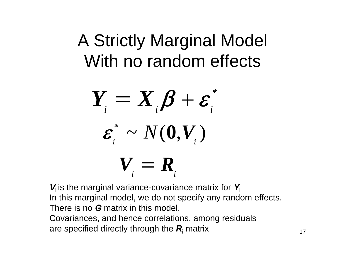#### A Strictly Marginal Model With no random effects

$$
Y_{i} = X_{i} \beta + \varepsilon_{i}^{*}
$$

$$
\varepsilon_{i}^{*} \sim N(0, V_{i})
$$

$$
V_{i} = R_{i}
$$

*V*i is the marginal variance-covariance matrix for *Y*iIn this marginal model, we do not specify any random effects. There is no *G* matrix in this model.

Covariances, and hence correlations, among residuals are specified directly through the *R*i matrix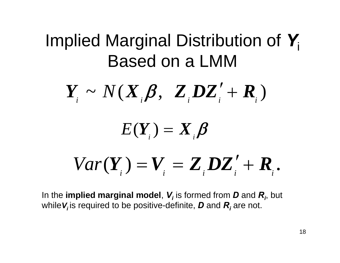#### Implied Marginal Distribution of *Y*iBased on a LMM

$$
\boldsymbol{Y}_{i} \sim N(\boldsymbol{X}_{i} \boldsymbol{\beta}, \boldsymbol{Z}_{i} \boldsymbol{D} \boldsymbol{Z}_{i}^{\prime} + \boldsymbol{R}_{i})
$$

#### $E(\boldsymbol{Y}_{_{i}})=\boldsymbol{X}_{_{i}}$  $Y_{\cdot}$   $) = X_{\cdot} \beta$

# $Var(Y_i) = V_i = Z_i DZ'_i + R_i$

In the **implied marginal model**,  $\boldsymbol{V}_i$  is formed from  $\boldsymbol{D}$  and  $\boldsymbol{R}_i$ , but while $\boldsymbol{V}_{\!i}$  is required to be positive-definite,  $\boldsymbol{D}$  and  $\boldsymbol{R}_{\!i}$  are not.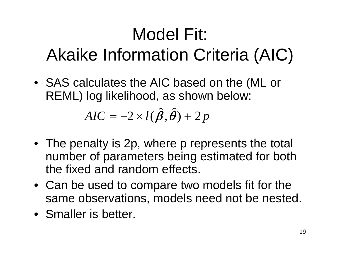# Model Fit: Akaike Information Criteria (AIC)

• SAS calculates the AIC based on the (ML or REML) log likelihood, as shown below:

> $\boldsymbol{\hat{q}}$   $\boldsymbol{\hat{A}}$  $AIC = -2 \times l(\boldsymbol{\beta}, \boldsymbol{\theta}) + 2 \, p$

- The penalty is 2p, where p represents the total number of parameters being estimated for both the fixed and random effects.
- Can be used to compare two models fit for the same observations, models need not be nested.
- Smaller is better.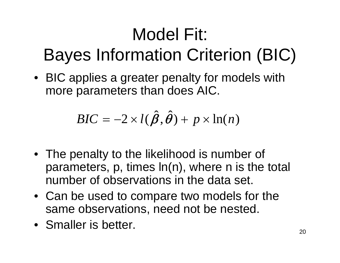# Model Fit: Bayes Information Criterion (BIC)

• BIC applies a greater penalty for models with more parameters than does AIC.

$$
BIC = -2 \times l(\hat{\boldsymbol{\beta}}, \hat{\boldsymbol{\theta}}) + p \times \ln(n)
$$

- The penalty to the likelihood is number of parameters, p, times ln(n), where n is the total number of observations in the data set.
- Can be used to compare two models for the same observations, need not be nested.
- Smaller is better.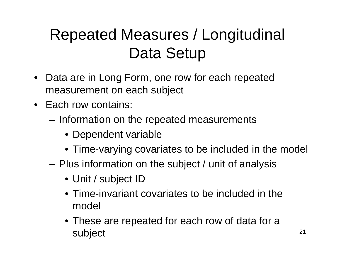#### Repeated Measures / Longitudinal Data Setup

- $\bullet$  Data are in Long Form, one row for each repeated measurement on each subject
- Each row contains:
	- Information on the repeated measurements
		- Dependent variable
		- Time-varying covariates to be included in the model
	- Plus information on the subject / unit of analysis
		- Unit / subject ID
		- Time-invariant covariates to be included in the model
		- These are repeated for each row of data for a subject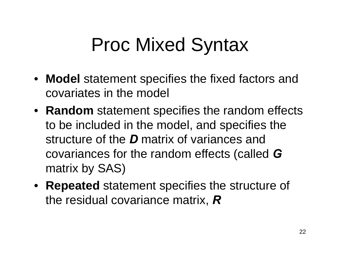# Proc Mixed Syntax

- **Model** statement specifies the fixed factors and covariates in the model
- **Random** statement specifies the random effects to be included in the model, and specifies the structure of the *D* matrix of variances and covariances for the random effects (called *G*  matrix by SAS)
- **Repeated** statement specifies the structure of the residual covariance matrix, *R*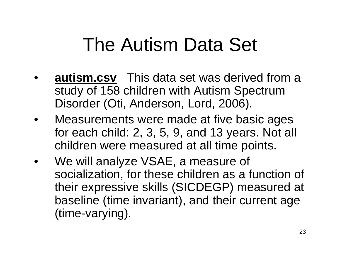# The Autism Data Set

- • **autism.csv** This data set was derived from a study of 158 children with Autism Spectrum Disorder (Oti, Anderson, Lord, 2006).
- • Measurements were made at five basic ages for each child: 2, 3, 5, 9, and 13 years. Not all children were measured at all time points.
- We will analyze VSAE, a measure of socialization, for these children as a function of their expressive skills (SICDEGP) measured at baseline (time invariant), and their current age (time-varying).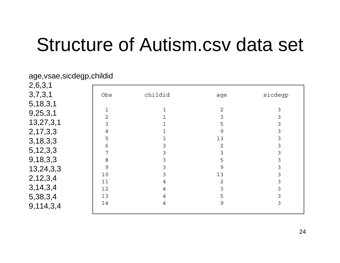#### Structure of Autism.csv data set

| age, vsae, sicdegp, childid |                |         |        |         |  |
|-----------------------------|----------------|---------|--------|---------|--|
| 2,6,3,1                     |                |         |        |         |  |
| 3,7,3,1                     | Obs            | childid | age    | sicdegp |  |
| 5, 18, 3, 1                 |                |         |        |         |  |
| 9,25,3,1                    | $\overline{2}$ |         | 2      | 3       |  |
| 13,27,3,1                   | 3              |         | 3<br>5 | 3<br>3  |  |
| 2, 17, 3, 3                 | 4              |         | 9      | 3       |  |
| 3,18,3,3                    | 5              |         | 13     | 3       |  |
|                             | 6              | 3       | 2      | 3       |  |
| 5, 12, 3, 3                 | 7              | 3       | 3      | 3       |  |
| 9,18,3,3                    | 8              | 3       | 5      | 3       |  |
| 13,24,3,3                   | 9              | 3       | 9      | 3       |  |
|                             | 10             | 3       | 13     | 3       |  |
| 2,12,3,4                    | 11             | 4       | 2      | 3       |  |
| 3,14,3,4                    | 12             | 4       | 3      | 3       |  |
| 5,38,3,4                    | 13             | 4       | 5      | 3       |  |
| 9,114,3,4                   | 14             | 4       | 9      | 3       |  |

24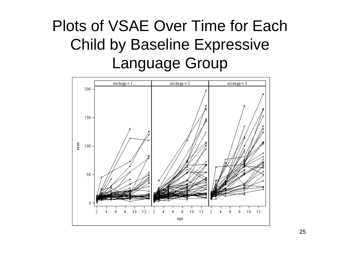#### Plots of VSAE Over Time for Each Child by Baseline Expressive Language Group

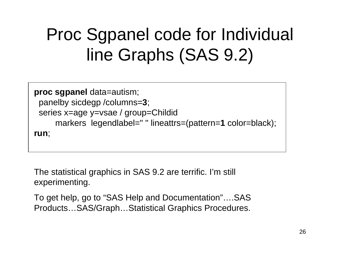### Proc Sgpanel code for Individual line Graphs (SAS 9.2)

```
proc sgpanel data=autism;
 panelby sicdegp /columns=
3;
 series x=age y=vsae / group=Childid
      markers legendlabel=" " lineattrs=(pattern=
1 color=black);
run;
```
The statistical graphics in SAS 9.2 are terrific. I'm still experimenting.

To get help, go to "SAS Help and Documentation"….SAS Products…SAS/Graph…Statistical Graphics Procedures.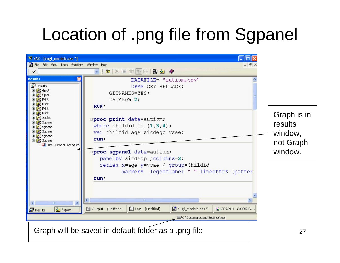#### Location of .png file from Sgpanel

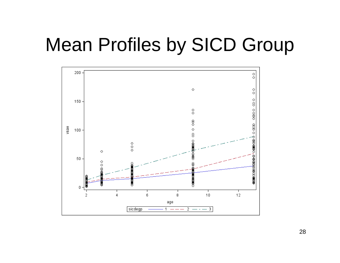#### Mean Profiles by SICD Group



28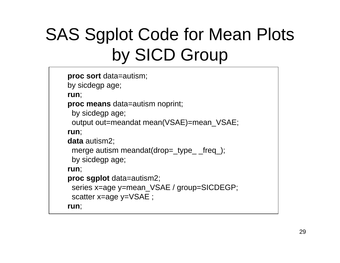### SAS Sgplot Code for Mean Plots by SICD Group

```
proc sort data=autism;
by sicdegp age;
run;
proc means data=autism noprint;
 by sicdegp age;
 output out=meandat mean(VSAE)=mean_VSAE;
run;
data autism2;
 merge autism meandat(drop=_type_ _freq_);
 by sicdegp age;
run;
proc sgplot data=autism2;
 series x=age y=mean_VSAE / group=SICDEGP;
 scatter x=age y=VSAE ;
run;
```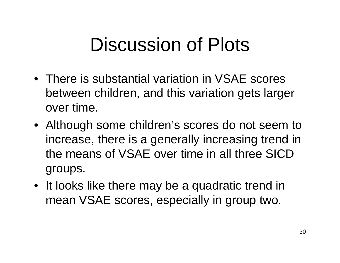# Discussion of Plots

- There is substantial variation in VSAE scores between children, and this variation gets larger over time.
- Although some children's scores do not seem to increase, there is a generally increasing trend in the means of VSAE over time in all three SICD groups.
- It looks like there may be a quadratic trend in mean VSAE scores, especially in group two.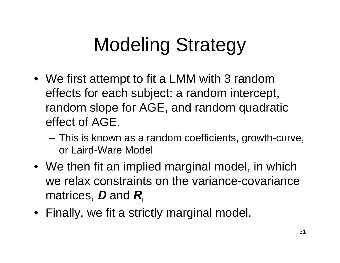# Modeling Strategy

- We first attempt to fit a LMM with 3 random effects for each subject: a random intercept, random slope for AGE, and random quadratic effect of AGE.
	- This is known as a random coefficients, growth-curve, or Laird-Ware Model
- We then fit an implied marginal model, in which we relax constraints on the variance-covariance matrices, *D* and *R*i
- Finally, we fit a strictly marginal model.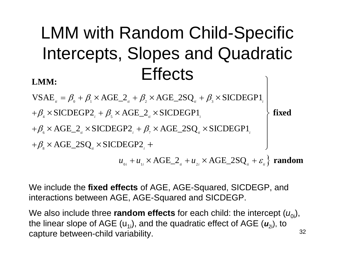#### LMM with Random Child-Specific Intercepts, Slopes and Quadratic **Effects** ⎫ **LMM:**

 $VSAE_{i} = \beta_{0} + \beta_{1} \times AGE_{i}$  +  $\beta_{2} \times AGE_{i}$  2SQ<sub>*ii*</sub></sub> +  $\beta_{3} \times SICDEGP1_{i}$  $\times$  SICDEGP1 $_{i}$ 

 $+\beta _{_{4}} \times \text{SICDEGP2}_{_{i}} + \beta _{_{5}} \times \text{AGE\_2}_{_{ii}} \times \text{SICDEGP1}_{_{ii}}$  $+\beta_{s} \times \text{AGE\_2}_{i} \times \text{SICDEGP2}_{i} + \beta_{7} \times \text{AGE\_2SQ}_{i} \times \text{SICDEGP1}_{i}$  $+\beta_{\text{\tiny s}}$   $\times$  AGE\_2SQ  $_{\text{\tiny H}}$   $\times$  SICDEGP2  $_{\text{\tiny g}}$ ⎪  $\left\{ \right\}$  $\times$  AGE\_2SQ<sub>n</sub>  $\times$  SICDEGP1<sub>i</sub>  $+$   $\qquad \qquad \Big\}$  **fixed**

 $u_{0i} + u_{1i} \times \text{AGE}\_{2_{ni}} + u_{2i} \times \text{AGE}\_{2}SQ_{ii} + \varepsilon_{ii}^2$  random

We include the **fixed effects** of AGE, AGE-Squared, SICDEGP, and interactions between AGE, AGE-Squared and SICDEGP.

32We also include three **random effects** for each child: the intercept ( $u_{0i}$ ), the linear slope of AGE (u<sub>1i</sub>), and the quadratic effect of AGE ( $\bm{u}_{\mathrm{2i}}$ ), to capture between-child variability.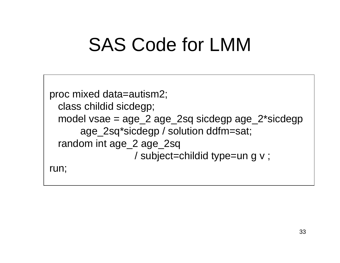# SAS Code for LMM

```
proc mixed data=autism2;
 class childid sicdegp;
 model vsae = age_2 age_2sq sicdegp age_2*sicdegp
      age_2sq*sicdegp / solution ddfm=sat;
 random int age_2 age_2sq 
                 / subject=childid type=un g v ;
run;
```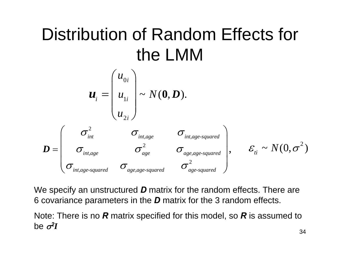## Distribution of Random Effects for the LMM



We specify an unstructured *D* matrix for the random effects. There are 6 covariance parameters in the *D* matrix for the 3 random effects.

Note: There is no *R* matrix specified for this model, so *R* is assumed to be σ*2I*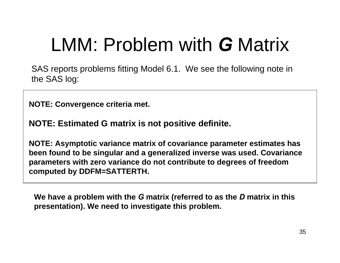# LMM: Problem with *G* Matrix

SAS reports problems fitting Model 6.1. We see the following note in the SAS log:

**NOTE: Convergence criteria met.**

**NOTE: Estimated G matrix is not positive definite.**

**NOTE: Asymptotic variance matrix of covariance parameter estimates has been found to be singular and a generalized inverse was used. Covariance parameters with zero variance do not contribute to degrees of freedom computed by DDFM=SATTERTH.**

**We have a problem with the**  *G* **matrix (referred to as the**  *D* **matrix in this presentation). We need to investigate this problem.**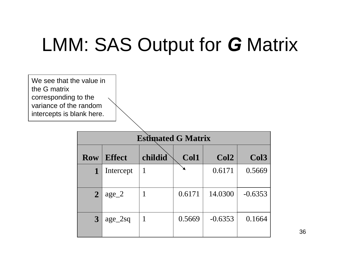# LMM: SAS Output for *G* Matrix



36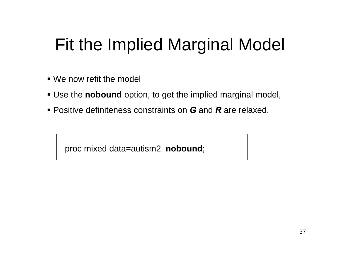#### Fit the Implied Marginal Model

- We now refit the model
- Use the **nobound** option, to get the implied marginal model,
- Positive definiteness constraints on *G* and *R* are relaxed.

proc mixed data=autism2 **nobound**;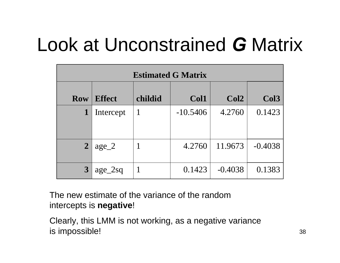# Look at Unconstrained *G* Matrix

| <b>Estimated G Matrix</b> |               |         |            |                  |                  |  |
|---------------------------|---------------|---------|------------|------------------|------------------|--|
| <b>Row</b>                | <b>Effect</b> | childid | Col1       | Col <sub>2</sub> | Col <sub>3</sub> |  |
| 1                         | Intercept     |         | $-10.5406$ | 4.2760           | 0.1423           |  |
| $\overline{2}$            | $age_2$       |         | 4.2760     | 11.9673          | $-0.4038$        |  |
| $\boldsymbol{3}$          | $age_2sq$     |         | 0.1423     | $-0.4038$        | 0.1383           |  |

The new estimate of the variance of the random intercepts is **negative**!

Clearly, this LMM is not working, as a negative variance is impossible!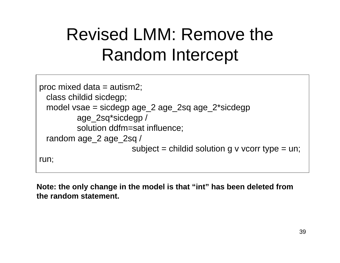#### Revised LMM: Remove the Random Intercept

```
proc mixed data = autism2;
 class childid sicdegp;
 model vsae = sicdegp age_2 age_2sq age_2*sicdegp
         age_2sq*sicdegp / 
         solution ddfm=sat influence;
 random age_2 age_2sq /
                        subject = childid solution g v vcorr type = un;
run;
```
**Note: the only change in the model is that "int" has been deleted from the random statement.**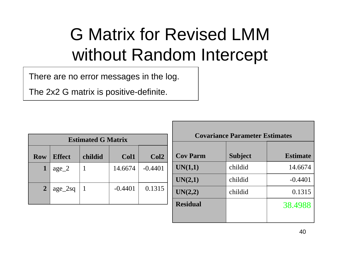### G Matrix for Revised LMM without Random Intercept

There are no error messages in the log.

The 2x2 G matrix is positive-definite.

| <b>Estimated G Matrix</b> |                                                      |  |           |           |  |  |  |
|---------------------------|------------------------------------------------------|--|-----------|-----------|--|--|--|
| <b>Row</b>                | <b>Effect</b><br>childid<br>Col1<br>Col <sub>2</sub> |  |           |           |  |  |  |
| $\mathbf{1}$              | $age_2$                                              |  | 14.6674   | $-0.4401$ |  |  |  |
| $\overline{2}$            | age_2sq                                              |  | $-0.4401$ | 0.1315    |  |  |  |

| <b>Covariance Parameter Estimates</b> |                |                 |  |  |  |
|---------------------------------------|----------------|-----------------|--|--|--|
| <b>Cov Parm</b>                       | <b>Subject</b> | <b>Estimate</b> |  |  |  |
| UN(1,1)                               | childid        | 14.6674         |  |  |  |
| UN(2,1)                               | childid        | $-0.4401$       |  |  |  |
| UN(2,2)                               | childid        | 0.1315          |  |  |  |
| <b>Residual</b>                       |                | 38.4988         |  |  |  |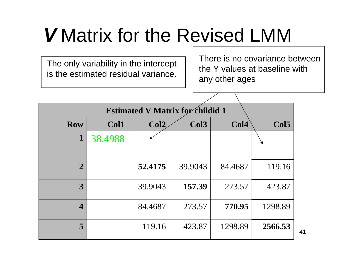# *V* Matrix for the Revised LMM

The only variability in the intercept is the estimated residual variance.

There is no covariance between the Y values at baseline with any other ages

| <b>Estimated V Matrix for childid 1</b> |         |         |         |                  |                  |
|-----------------------------------------|---------|---------|---------|------------------|------------------|
| <b>Row</b>                              | Col1    | Col2    | Col3    | Col <sub>4</sub> | Col <sub>5</sub> |
| $\mathbf 1$                             | 38.4988 |         |         |                  |                  |
| $\overline{2}$                          |         | 52.4175 | 39.9043 | 84.4687          | 119.16           |
| 3                                       |         | 39.9043 | 157.39  | 273.57           | 423.87           |
| $\overline{\mathcal{A}}$                |         | 84.4687 | 273.57  | 770.95           | 1298.89          |
| 5                                       |         | 119.16  | 423.87  | 1298.89          | 2566.53          |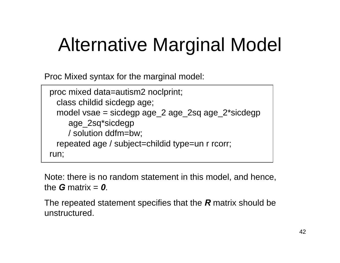# Alternative Marginal Model

Proc Mixed syntax for the marginal model:

```
proc mixed data=autism2 noclprint;
 class childid sicdegp age;
 model vsae = sicdegp age_2 age_2sq age_2*sicdegp
    age_2sq*sicdegp
    / solution ddfm=bw;
 repeated age / subject=childid type=un r rcorr;
run;
```
Note: there is no random statement in this model, and hence, the *G* matrix = *0*.

The repeated statement specifies that the *R* matrix should be unstructured.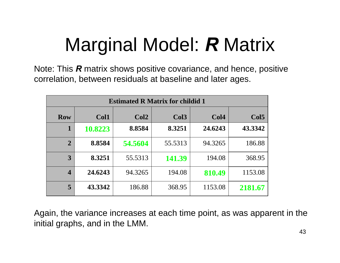# Marginal Model: *R* Matrix

Note: This *R* matrix shows positive covariance, and hence, positive correlation, between residuals at baseline and later ages.

| <b>Estimated R Matrix for childid 1</b> |         |         |                  |         |                  |  |
|-----------------------------------------|---------|---------|------------------|---------|------------------|--|
| <b>Row</b>                              | Col1    | Col2    | Col <sub>3</sub> | Col4    | Col <sub>5</sub> |  |
| $\mathbf 1$                             | 10.8223 | 8.8584  | 8.3251           | 24.6243 | 43.3342          |  |
| $\overline{2}$                          | 8.8584  | 54.5604 | 55.5313          | 94.3265 | 186.88           |  |
| 3                                       | 8.3251  | 55.5313 | 141.39           | 194.08  | 368.95           |  |
| $\overline{\mathbf{4}}$                 | 24.6243 | 94.3265 | 194.08           | 810.49  | 1153.08          |  |
| 5                                       | 43.3342 | 186.88  | 368.95           | 1153.08 | 2181.67          |  |

Again, the variance increases at each time point, as was apparent in the initial graphs, and in the LMM.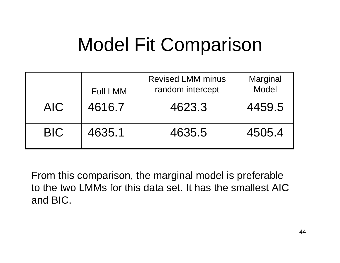# Model Fit Comparison

|            | <b>Full LMM</b> | <b>Revised LMM minus</b><br>random intercept | Marginal<br><b>Model</b> |
|------------|-----------------|----------------------------------------------|--------------------------|
| AIC.       | 4616.7          | 4623.3                                       | 4459.5                   |
| <b>BIC</b> | 4635.1          | 4635.5                                       | 4505.4                   |

From this comparison, the marginal model is preferable to the two LMMs for this data set. It has the smallest AIC and BIC.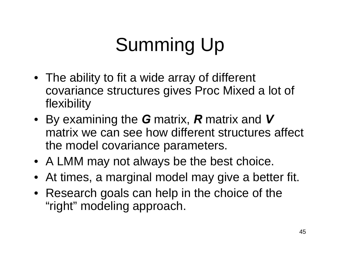# Summing Up

- The ability to fit a wide array of different covariance structures gives Proc Mixed a lot of flexibility
- By examining the *G* matrix, *R* matrix and *V*  matrix we can see how different structures affect the model covariance parameters.
- A LMM may not always be the best choice.
- At times, a marginal model may give a better fit.
- Research goals can help in the choice of the "right" modeling approach.